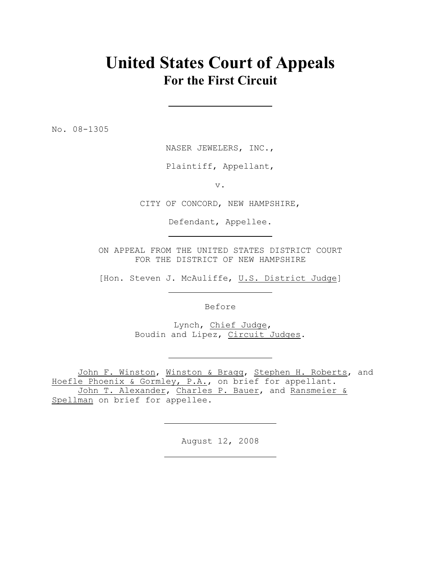## **United States Court of Appeals For the First Circuit**

No. 08-1305

NASER JEWELERS, INC.,

Plaintiff, Appellant,

v.

CITY OF CONCORD, NEW HAMPSHIRE,

Defendant, Appellee.

ON APPEAL FROM THE UNITED STATES DISTRICT COURT FOR THE DISTRICT OF NEW HAMPSHIRE

[Hon. Steven J. McAuliffe, U.S. District Judge]

Before

 Lynch, Chief Judge, Boudin and Lipez, Circuit Judges.

John F. Winston, Winston & Bragg, Stephen H. Roberts, and Hoefle Phoenix & Gormley, P.A., on brief for appellant. John T. Alexander, Charles P. Bauer, and Ransmeier & Spellman on brief for appellee.

August 12, 2008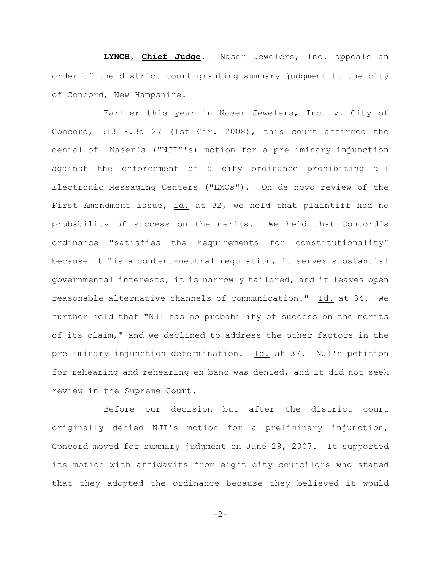**LYNCH, Chief Judge**. Naser Jewelers, Inc. appeals an order of the district court granting summary judgment to the city of Concord, New Hampshire.

Earlier this year in Naser Jewelers, Inc. v. City of Concord, 513 F.3d 27 (1st Cir. 2008), this court affirmed the denial of Naser's ("NJI"'s) motion for a preliminary injunction against the enforcement of a city ordinance prohibiting all Electronic Messaging Centers ("EMCs"). On de novo review of the First Amendment issue, id. at 32, we held that plaintiff had no probability of success on the merits. We held that Concord's ordinance "satisfies the requirements for constitutionality" because it "is a content-neutral regulation, it serves substantial governmental interests, it is narrowly tailored, and it leaves open reasonable alternative channels of communication." Id. at 34. We further held that "NJI has no probability of success on the merits of its claim," and we declined to address the other factors in the preliminary injunction determination. Id. at 37. NJI's petition for rehearing and rehearing en banc was denied, and it did not seek review in the Supreme Court.

Before our decision but after the district court originally denied NJI's motion for a preliminary injunction, Concord moved for summary judgment on June 29, 2007. It supported its motion with affidavits from eight city councilors who stated that they adopted the ordinance because they believed it would

 $-2-$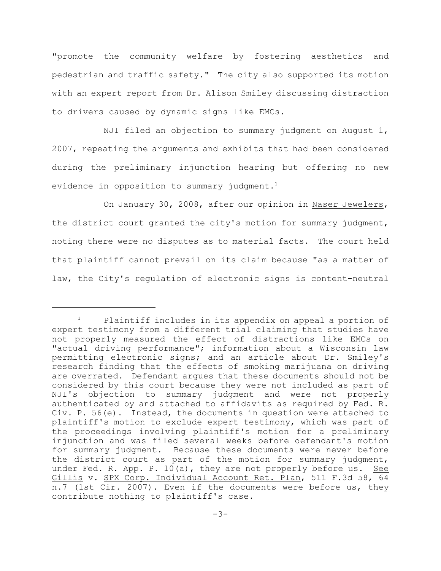"promote the community welfare by fostering aesthetics and pedestrian and traffic safety." The city also supported its motion with an expert report from Dr. Alison Smiley discussing distraction to drivers caused by dynamic signs like EMCs.

NJI filed an objection to summary judgment on August 1, 2007, repeating the arguments and exhibits that had been considered during the preliminary injunction hearing but offering no new evidence in opposition to summary judgment.<sup>1</sup>

On January 30, 2008, after our opinion in Naser Jewelers, the district court granted the city's motion for summary judgment, noting there were no disputes as to material facts. The court held that plaintiff cannot prevail on its claim because "as a matter of law, the City's regulation of electronic signs is content-neutral

 $P$  Plaintiff includes in its appendix on appeal a portion of expert testimony from a different trial claiming that studies have not properly measured the effect of distractions like EMCs on "actual driving performance"; information about a Wisconsin law permitting electronic signs; and an article about Dr. Smiley's research finding that the effects of smoking marijuana on driving are overrated. Defendant argues that these documents should not be considered by this court because they were not included as part of NJI's objection to summary judgment and were not properly authenticated by and attached to affidavits as required by Fed. R. Civ. P. 56(e). Instead, the documents in question were attached to plaintiff's motion to exclude expert testimony, which was part of the proceedings involving plaintiff's motion for a preliminary injunction and was filed several weeks before defendant's motion for summary judgment. Because these documents were never before the district court as part of the motion for summary judgment, under Fed. R. App. P. 10(a), they are not properly before us. See Gillis v. SPX Corp. Individual Account Ret. Plan, 511 F.3d 58, 64 n.7 (1st Cir. 2007). Even if the documents were before us, they contribute nothing to plaintiff's case.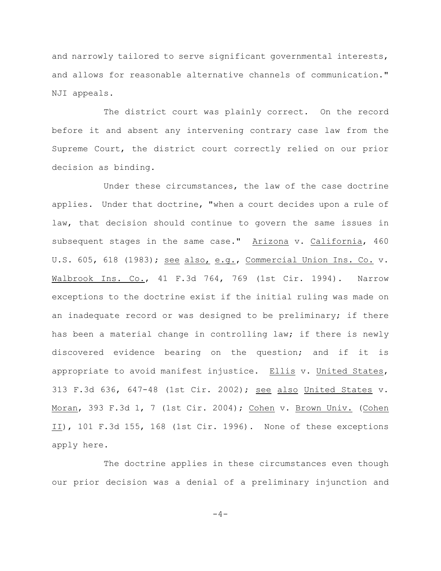and narrowly tailored to serve significant governmental interests, and allows for reasonable alternative channels of communication." NJI appeals.

The district court was plainly correct. On the record before it and absent any intervening contrary case law from the Supreme Court, the district court correctly relied on our prior decision as binding.

Under these circumstances, the law of the case doctrine applies. Under that doctrine, "when a court decides upon a rule of law, that decision should continue to govern the same issues in subsequent stages in the same case." Arizona v. California, 460 U.S. 605, 618 (1983); see also, e.g., Commercial Union Ins. Co. v. Walbrook Ins. Co., 41 F.3d 764, 769 (1st Cir. 1994). Narrow exceptions to the doctrine exist if the initial ruling was made on an inadequate record or was designed to be preliminary; if there has been a material change in controlling law; if there is newly discovered evidence bearing on the question; and if it is appropriate to avoid manifest injustice. Ellis v. United States, 313 F.3d 636, 647-48 (1st Cir. 2002); see also United States v. Moran, 393 F.3d 1, 7 (1st Cir. 2004); Cohen v. Brown Univ. (Cohen II), 101 F.3d 155, 168 (1st Cir. 1996). None of these exceptions apply here.

The doctrine applies in these circumstances even though our prior decision was a denial of a preliminary injunction and

 $-4-$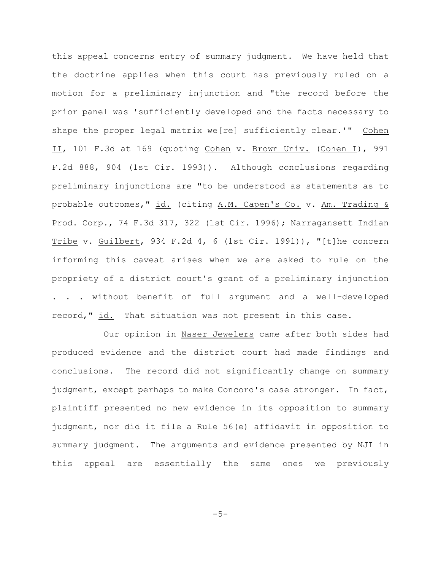this appeal concerns entry of summary judgment. We have held that the doctrine applies when this court has previously ruled on a motion for a preliminary injunction and "the record before the prior panel was 'sufficiently developed and the facts necessary to shape the proper legal matrix we[re] sufficiently clear.'" Cohen II, 101 F.3d at 169 (quoting Cohen v. Brown Univ. (Cohen I), 991 F.2d 888, 904 (1st Cir. 1993)). Although conclusions regarding preliminary injunctions are "to be understood as statements as to probable outcomes," id. (citing A.M. Capen's Co. v. Am. Trading & Prod. Corp., 74 F.3d 317, 322 (1st Cir. 1996); Narragansett Indian Tribe v. Guilbert, 934 F.2d 4, 6 (1st Cir. 1991)), "[t]he concern informing this caveat arises when we are asked to rule on the propriety of a district court's grant of a preliminary injunction . . . without benefit of full argument and a well-developed record," id. That situation was not present in this case.

Our opinion in Naser Jewelers came after both sides had produced evidence and the district court had made findings and conclusions. The record did not significantly change on summary judgment, except perhaps to make Concord's case stronger. In fact, plaintiff presented no new evidence in its opposition to summary judgment, nor did it file a Rule 56(e) affidavit in opposition to summary judgment. The arguments and evidence presented by NJI in this appeal are essentially the same ones we previously

 $-5-$